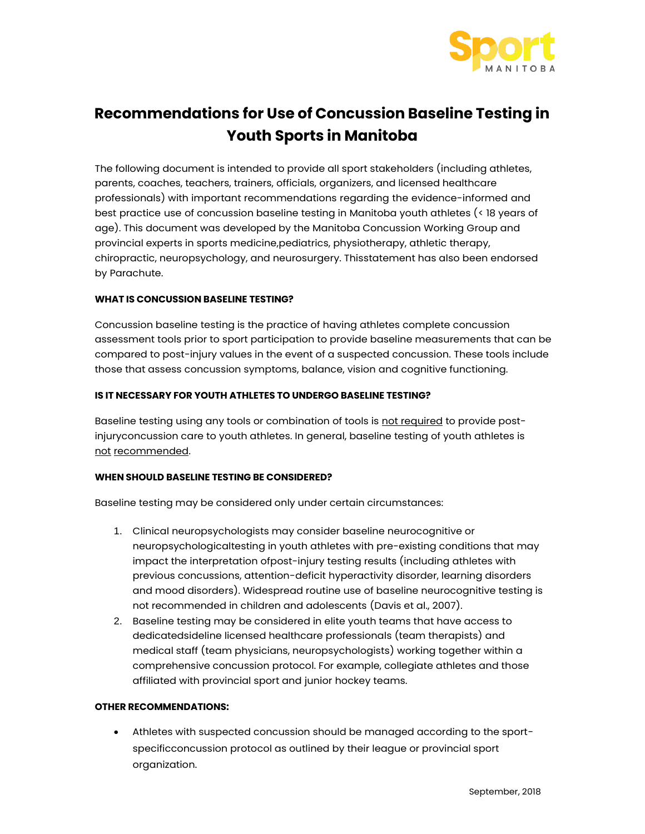

# **Recommendations for Use of Concussion Baseline Testing in Youth Sports in Manitoba**

The following document is intended to provide all sport stakeholders (including athletes, parents, coaches, teachers, trainers, officials, organizers, and licensed healthcare professionals) with important recommendations regarding the evidence-informed and best practice use of concussion baseline testing in Manitoba youth athletes (< 18 years of age). This document was developed by the Manitoba Concussion Working Group and provincial experts in sports medicine,pediatrics, physiotherapy, athletic therapy, chiropractic, neuropsychology, and neurosurgery. Thisstatement has also been endorsed by Parachute.

## **WHAT IS CONCUSSION BASELINE TESTING?**

Concussion baseline testing is the practice of having athletes complete concussion assessment tools prior to sport participation to provide baseline measurements that can be compared to post-injury values in the event of a suspected concussion. These tools include those that assess concussion symptoms, balance, vision and cognitive functioning.

## **IS IT NECESSARY FOR YOUTH ATHLETES TO UNDERGO BASELINE TESTING?**

Baseline testing using any tools or combination of tools is not required to provide postinjuryconcussion care to youth athletes. In general, baseline testing of youth athletes is not recommended.

#### **WHEN SHOULD BASELINE TESTING BE CONSIDERED?**

Baseline testing may be considered only under certain circumstances:

- 1. Clinical neuropsychologists may consider baseline neurocognitive or neuropsychologicaltesting in youth athletes with pre-existing conditions that may impact the interpretation ofpost-injury testing results (including athletes with previous concussions, attention-deficit hyperactivity disorder, learning disorders and mood disorders). Widespread routine use of baseline neurocognitive testing is not recommended in children and adolescents (Davis et al., 2007).
- 2. Baseline testing may be considered in elite youth teams that have access to dedicatedsideline licensed healthcare professionals (team therapists) and medical staff (team physicians, neuropsychologists) working together within a comprehensive concussion protocol. For example, collegiate athletes and those affiliated with provincial sport and junior hockey teams.

#### **OTHER RECOMMENDATIONS:**

• Athletes with suspected concussion should be managed according to the sportspecificconcussion protocol as outlined by their league or provincial sport organization.